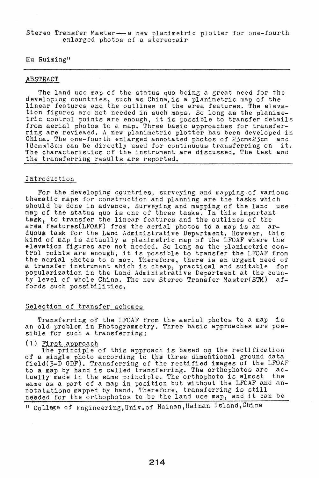Stereo Transfer Master-a new planimetric plotter for one-fourth enlarged photos of a stereopair

Hu Ruiming"

## ABSTRACT

The land use map of the status quo being a great need for the developing countries, such as China,is a planimetric map of the linear features and the outlines of the area features. The elevation figures are not needed in such maps. So long as the planimetric control points are enough, it is possible to transfer details from aerial photos to a map. Three basic approaches for transferring are reviewed. A new planimetric plotter has been developed in China. The one-fourth enlarged annotated photos of 23cmx23cm and 18cmx18cm can be directly used for continuous transferring on it. 18cmx18cm can be directly used for continuous transferring on The characteristics of the instrument are discussed. The test and the transferring results are reported.

## Introduction

For the developing cQuntries, surveying and mapping of various thematic maps for construction and planning are the tasks which should be done in advance. Surveying and mapping of the land use map of the status quo is one of these tasks. In this important task, to transfer the linear features and the outlines of the area features(LFOAF) from the aerial photos to a map is an arduous task for the Land Administrative Department. However, this kind of map is actually a planimetric map *of* the LFOAF where the elevation figures are not needed. So long as the planimetric control points are enough, it is possible to transfer the LFOAF from the aerial photos to a map. Therefore, there is an urgent need of <sup>a</sup>transfer instrument which is cheap, practical and suitable for pOpularization in the Land Administrative Department at the county level of whole China. The new stereo Transfer Master(STM) affords such possibilities.

## Selection of transfer schemes

Transferring of the LFOAF from the aerial photos to a map is an old problem in Photogrammetry. Three basic approaches are possible for such a transferring:

## $(1)$  First approach

The principle of this approach is based on the rectification of a single photo according to the three dimentional ground data field(3-D GDF). Transferring of the rectified images of the LFOAF to a map by hand is called transferring. The orthophotos are ac-<br>tually made in the same principle. The orthophoto is almost the tually made in the same principle. The orthophoto is almost same as a part of a map in position but without the LFOAF and annotatations mapped by hand. Therefore, transferring is still needed for the orthophotos to be the land use map, and it can be

tf CQllege of Engineering,Univ.of Hainan,Hainan ISland,China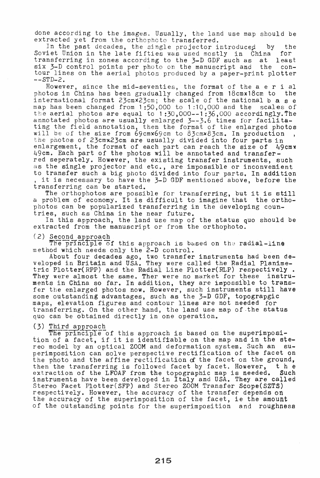done according to the images. Usually, the land use map should be extracted yet from the orthoohoto transferred.

In the past decades, the single projector introduced by the iet Union in the late fifties was used mostly in China for Soviet Union in the late fifties was used mostly in China for<br>transferring in zones according to the 3-D GDF such as at least transferring in zones according to the 3-D GDF such as at six 3-D control points per photo on the manuscript and the contour lines on the aerial photos produced by a paper-print plotter  $--STD-2.$ 

However, since the mid-seventies, the format of the a e rial photos in China has been gradually changed from 18cmx18cm to the international format  $23cm\overline{x}23cm$ ; the scale of the national b a s e map has been changed from 1 :50,000 to 1 :10,000 and the scales of the aerial photos are equal to  $1:30,000-1:36,000$  accordingly. The annotated photos are usually enlarged 3--3.6 times for facilitating the field annotation, then the format of the enlarged photos will be of the size from 69cmx69cm to 83cmx83cm. In production the photos of 23cmx23cm are usually divided into four parts in enlargement, the format of each part can reach the size of  $\frac{1}{4}9$ cm $x$ 49cm. Each part of the photos will be annotated and transferred seperately. However, the existing transfer instruments, such as the single projector and etc., are impossible or inconvenient to transfer such a big photo divided into four parts. In addition<br>, it is necessary to have the 3-D GDF mentioned above, before the transferring can be started.

nsierring can be started.<br>The orthophotos are possible for transferring, but it is still a problem of economy. It is difficult to imagine that the orthophotos can be popularized transferring in the developing countries, such as China in the near future.

In this approach, the land use map of the status quo should be extracted from the manuscript or from the orthophoto.<br>(2) Second approach. The principle of this approach is based on the radial-line

The principle of this approach is based on the radial-line method which needs only the 2-D control.

About four decades ago, two transfer instruments had been developed in Britain and USA. They were called the Radial Planimetric Plotter(RPP) and tbe Radial Line Plotter(RLP) respectively. They were almost the same. Ther were no market for these instruments in China so far. In addition, they are imposs{ble to transfer the enlarged photos now. However, such instruments still have some outstanding advantages, such as the 3-D GDF, topograpgic maps, elevation figures and contour lines are not needed for transferring. On the other hand, the land use map of·the status quo can be obtained directly in one operation. ruments had been de<br>the Radial Planime-<br>(RLP) respectively<br>t for these instru<br>impossible to trans<br>struments still hav<br>GDF, topograpgic<br>not needed for<br>map of the status<br>with the status<br>with the status<br>map and in the ste<br>sys

## (3) Third approach

Infra approach.<br>The principle of this approach is based on the superimposition of a facet, if it is identifiable on the map and in the stereo model by an optical ZOOM and deformation system. Such an BU. perimposition can solve perspective rectification of the facet on the photo and the affine rectification of the facet on the ground,<br>then the transferring is followed facet by facet. However, the then the transferring is followed facet by facet. However, the extraction of the LFOAF from the topographic map is needed. Such extraction of the LFOAF from the topographic map is needed. instruments have been developed in Italy and USA. They are called Stereo Facet Plotter(SFP) and Stereo ZOOM Transfer Scope(SZTS) respectively. However, the accuracy of the transfer depends on the accuracy of the superimposition of the facet, ie the amount of the outstanding points for the superimposition and roughness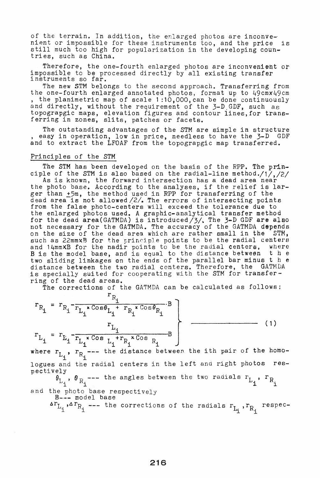of the terrain. In addition, the enlarged photos are inconvenient or impossible for these instruments too, and the price is still much too high for popularization in the developing countries, such as China.

Therefore, the one-fourth enlarged photos are inconvenient or impossible to be processed directly by all existing transfer instruments so far.

The new STM belongs to the second approach. Transferring from<br>the one-fourth enlarged annotated photos, format up to 49cmx49cm the one-fourth enlarged annotated photos, format up to 49cmx49cm,<br>, the planimetric map of scale 1:10,000, can be done continuously and directly, without the requirement of the 3-D GDF, such as topograpgic maps, elevation figures and contour lines,for transferring in zones, slits, patches or facets.

The outstanding advantages of the STM are simple in structure, easy in operation, low in price, needless to have the 3-D GDF and to extract the LFOAF from the topograpgic map transferred.

## Principles of the STM

The STM has been developed on the basis of the *RPP.* The principle of the STM is also based on the radial-line method./1/,/2/

As is known, the forward intersection has a dead area near As is known, the forward intersection has a dead area hear<br>the photo base. According to the analyses, if the relief is larger than ~5m, the method used in *RPP* for transferring of the dead area is not allowed /2/. The errors of intersecting points from the false photo-centers will exceed the tolerance due to the enlarged photos used. A graphic-analytical transfer method for the dead area(GATMDA) is introduced/3/. The 3-D GDF are also not necessary for the GATMDA. The accuracy of the GATMDA depends on the size of the dead area which are rather small in the STM, such as 22mmxB for the principle points to be the radial centers and 14mmxB for the nadir points to be the radial centers, where <br>B is the model base, and is equal to the distance between the B is the model base, and is equal to the distance between the<br>two sliding linkages on the ends of the parallel bar minus the two sliding linkages on the ends of the parallel bar minus t h e distance between the two radial centers. Therefore, the GATMDA is specially suited for cooperating with the STM' for transferring of the dead areas.

The corrections of the GATMDA can be calculated as follows;

$$
r_{R_{i}} = r_{R_{i}} - \frac{r_{R_{i}}}{r_{L_{i}} \cdot \cos \theta_{L_{i}} + r_{R_{i}} \cdot \cos \theta_{R_{i}} \cdot B}
$$
\n
$$
r_{L_{i}} = r_{L_{i}} - \frac{r_{L_{i}}}{r_{L_{i}} \cdot \cos \theta_{L_{i}} + r_{R_{i}} \cdot \cos \theta_{R_{i}} \cdot B}
$$
\n(1)

where  $r_{L_i}$ ,  $r_{R_i}$ --- the distance between the ith pair of the homologues and the radial centers in the left and right photos respectively

 $\theta_{L_i}$ ,  $\theta_{R_i}$  --- the angles between the two radials  $r_{L_i}$ ,  $r_{R_i}$ 

and the photo base respectively<br>B--- model base

$$
\Delta r_{L_i}, \Delta r_{R_i} \text{--- the corrections of the radicals } r_{L_i}, r_{R_i} \text{ respectively.}
$$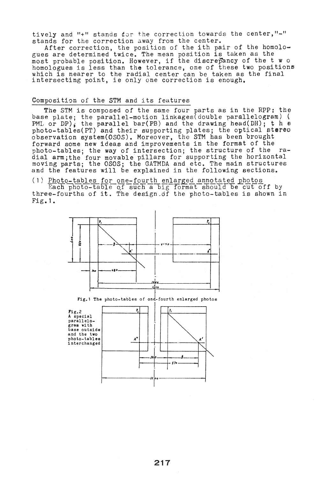tively and "+" stands for the correction towards the center,"-" stands for the correction away from the center.

After correction, the position of the ith pair of the homologues are determined twice. The mean position is taken as the gues are determined twice. The mean position is taken as the<br>most probable position. However, if the discrepancy of the two most probable position. However, if the discrepancy of the two positions which is nearer to the radial center can be taken as the final intersecting point, ie only one correction is enough.

## Composition of the 5TH and its features

The STM is' composed of the same four parts as in the *RPP:* the base plate; the parallel-motion linkages(double parallelogram) ( PML or DP); the parallel bar(PB) and the drawing head(DH); t h  $\theta$ photo-tables(PT) and their supporting plates; the optical stereo observation system(OSOS). Moreover, the STM has been brought forward some new ideas and improvements in the format of the photo-tables; the way of intersection; the structure of the radial arm; the four movable pillars for supporting the horizontal moving parts; the OSOS; the GATMDA and etc. The main structures and the features will be explained in the following sections.

## (1) Photo-tables for one-fourth enlarged annotated photos

Each photo-table of such a big format should be cut off by three-fourths of it. The design.df the photo-tables is shown in Fig. 1.



Fig.1 The photo-tables of ond-fourth enlarged photos

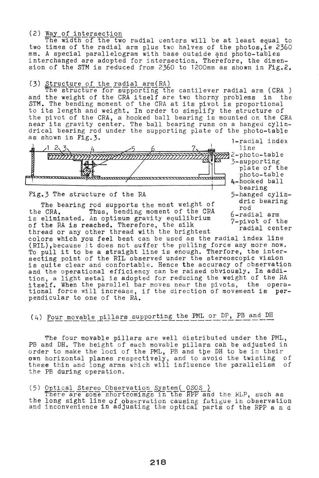(2) Way of intersection

The width of the two radial centers will be at least equal to two times of the radial arm plus two halves of the photos, ie 2360 mm. A special parallelogram with base outside and photo-tables interchanged are adopted for intersection. Therefore, the dimension of the STM is reduced from 2360 to 1200mm as shown in Fig.2.

(3) <u>Structure of the radial arm(RA)</u><br>The structure for supporting the cantilever radial arm *(CRA )* and the weight of the CRA itself are two thorny problems in the and the weight of the CRA Itsell are two thorny problems in the STM. The bending moment of the CRA at its pivot is proportional to its length and weight. In order to simplify the structure of the pivot of the CRA, a hooked ball bearing is mounted on the CRA the proot of the tha, a hooked bail bearing is mounted on the than<br>near its gravity center. The ball bearing runs on a hanged cylin-<br>drical bearing rod under the supporting plate of the photo-table as shown in Fig. 3.  $\frac{1 - \text{radial index}}{1 - \text{radial index}}$ 



# Fig.3 The structure of the *RA* 5-hanged cylin.<br>dric bearing develops and the *state of* the dric bearing

The bearing rod supports the most weight of  $\frac{u_1}{v_1}$ the CRA. Thus, bending moment of the CRA 6-radial arm is eliminated. An optimum gravity equilibrium 7-pivot of the of the RA is reached. Therefore, the silk radial center thread or any other thread with the brightest colors which you feel best can be used as the radial index 11ne (RIL),because it does not suffer the pulling force any more now. (RIL), because it does not suffer the pulling force any more now.<br>To pull it to be a straight line is enough. Therfore, the intersecting point of the RIL observed under the stereoscopic vision is quite clear and confortable. Hence the accuracy of observation and the operational efficiency can be raised obviously. In addiand the operational efficiency can be raised obviously. In deal itself. When the parallel bar moves near the pivots, the opera-<br>tional force will increase, if the direction of movement is per-<br>pendicular to one of the *RA*.

# (4) Four movable pillars supporting the PML or DP, PB and DH

The four movable pillars are well distributed under the PML, PB and DH. The height of each movable pillars can be adjusted in order to make the loci of the PML, PB and the DH to be in their own horizontal planes respectively, and to avoid the twisting of these thin and long arms which will influence the parallelism of the PE during operation.

## (5) Optical Stereo Observation System( OSOS )

ere are some shortcomings in the RPP and the RLP, such as the long sight line of observation causing fatigue in observation<br>and inconvenience in adjusting the optical parts of the *RPP* and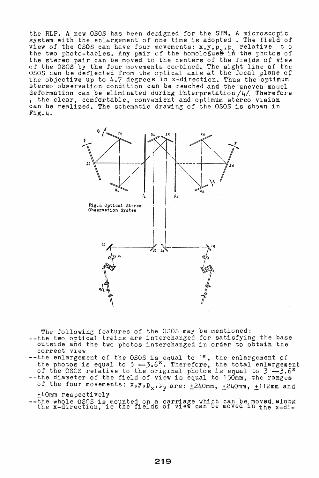+40mm respectively --the whole *OSCS* is mounted on a carriage which can be moved along the x-direction, ie the fields of view can be moved in the x-di-

- --the diameter of the field of view is equal to 150mm, the ranges of the four movements:  $x, y, p_x, p_y$  are:  $\pm$ 240mm,  $\pm$ 240mm,  $\pm$ 112mm and
- correct view --the enlargement of the OSOS is equal to 1<sup>x</sup>, the enlargement of the photos is equal to 3 -3.6<sup>x</sup>. Therefore, the total enlargement of the *0505* relative to the original photos is equal to 3 -3.6<sup>x</sup>
- The following features of the 0505 may be mentioned: --the two optical trains are interchanged for satisfying the base outside and the two photos interchanged in order to obtaih the



the RLP. A new OSOS has been designed for the STM. A microscopic system with the enlargement of one time is adopted. The field of view of the OSOS can have four movements:  $x, y, p_y, p_y$  relative to the two photo-tables. Any pair of the homologues in the photos of the stereo pair can be moved to the centers of the fields *ot* view of the 080S by the four movements combined. The sight line of the 0505 of the book by the four-movements combined: the Signe fine of the focal plane of the objective up to 4.7 degrees in x-direction. Thus the optimum stereo observation condition can be reached and the Uneven model deformation can be eliminated during interpretation /4/. Therefore, the clear, comfortable, convenient and optimum stereo vision can be realized. The schematic drawing of the 0505 is shown in Fig.4.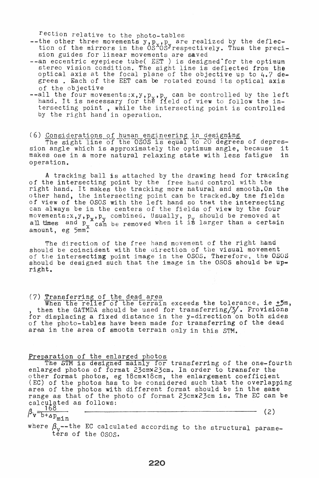rection relative to the photo-tables

--the other three movements  $y, p_y, p_y$  are realized by the deflection of the mirrors in the  $0.5^{\text{x}}0.5^{\text{y}}$  respectively. Thus the precision guides for linear movements are saved

- $-$ -an eccentric eyepiece tube( EET ) is designed for the optimum stereo vision condition. The sight line is deflected from the optical axis at the focal plane of the objective up to 4.7 de~ grees. Each of the EET can be rotated round its optical axis of the objective
- $-$ all the four movements:x,y,p, p, can be controlled by the left air the four movements:  $x, y, p_y, p_z$  can be controlled by the fertersecting point , while the intersecting point is controlled by the right hand in operation.

# (6) Considerations of human engineering in designing

<u>consideractions of human engineering in designing</u><br>The sight line of the OSOS is equal to 20 degrees of depression angle which is approximately the optimum angle, because it<br>makes one in a more natural relaxing state with less fatigue in makes one in a more natural relaxing state with less fatigue operation.

A tracking ball is attached by the drawing head for tracking of the intersecting point by the free hand control with the right hand. It makes the tracking more natural and smooth. On the other hand, the intersecting point can be tracked\_by the fields of view of the 0SOS with the left hand so that the intersecting can always be in the centers of the fields of view by the four movements: $x, y, p_y, p_y$  combined. Usually,  $p_y$  should be removed at all times and  $p_{y}$  can be removed when it is larger than a certain  $\frac{a_{\text{II}}}{a_{\text{moun}}}$  amount, eg  $5$ mm.

The direction of the free hand movement of the right hand should be coincident with the direction of the visual movement of the intersecting point image in the OSOS. Therefore, the OSOS should be designed such that the image in the OSOS should be upright.

(7) Transferring of the dead area<br> When the relief of the terrain exceeds the tolerance, ie  $\pm 5m$ ,<br>, then the GATMDA should be used for transferring/3/. Provisions for displacing a fixed distance in the y-direction on both sides of the photo-tables have been made for transferring of the dead area in the area of smooth terrain only in this STM.

## Preparation of the enlarged photos

aracion of the entarged photos<br>The STM is designed mainly for transferring of the one-fourth enlarged photos of format 23cmx23cm. In order to transfer the other format photos, eg 18cmx18cm, the enlargement coefficient (EC) of the photos has to be considered such that the overlapping area of the photos with different format should be in the same range as that of the photo of format 23cmx23cm is. The EC can be calculated as follows:

$$
\beta_{\text{v}} = \frac{168}{b + \Delta p_{\text{max}}} \tag{2}
$$

## $\omega_{\text{m1n}}$

where  $\beta_{\rm v}$ --the EC calculated according to the structural parameters of the *050S.*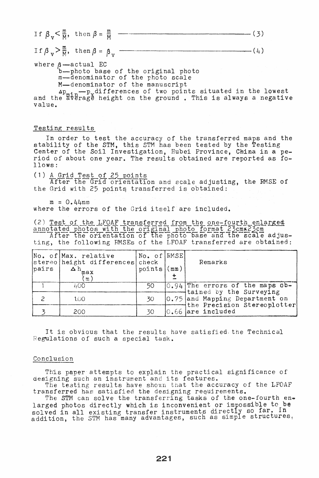,----------------------(3) I f ~ v < H' then ~ = <sup>~</sup>

If  $\beta_v > \frac{m}{M}$ , then  $\beta = \beta_v$  $\overline{\phantom{a}}(t)$ 

where  $\beta$  -actual EC

b--photo base of the original photo m--denominator of the photo scale M-denominator of the manuscript

M—denominator of the manuscript<br>Ap<sub>min</sub>—p<sub>x</sub>differences of two points situated in the lowest and the average height on the ground. This is always a negative value.

## Testing results

In order to test the accuracy of the transferred maps and the stability of the STM, this STM has been tested by the Testing Center of the Soil Investigation, Hubei Province, China in a period of about one year. The results obtained are reported as follows:

(1) <u>A Grid Test of 25 points</u>

After the Grid orientation and scale adjusting, the RMSE of the Grid with  $25$  points transferred is obtained:

 $m = 0.44$ mm where the errors of the Grid itself are included.

| pairs | No. of Max. relative<br>stereo height differences check<br>$\Delta$ h <sub>max</sub><br>$\lfloor m \rfloor$ | No. of RMSE<br>$points$ (mm) |  | Remarks                                                                                                                                                         |
|-------|-------------------------------------------------------------------------------------------------------------|------------------------------|--|-----------------------------------------------------------------------------------------------------------------------------------------------------------------|
|       | 400                                                                                                         | 50                           |  | 0.94 The errors of the maps ob-<br>tained by the Surveying<br>0.75 and Mapping Department on<br>$\lnot$ the Precision Stereoplotter<br>$\big 0.66$ are included |
|       | 1.00                                                                                                        | 30                           |  |                                                                                                                                                                 |
|       | 200                                                                                                         | 30                           |  |                                                                                                                                                                 |

It is obvious that the results have satisfied. the Technical Regulations of such a special task.

## Conclusion

This paper attempts to explain the practical significance of ints paper attempts to explain the practical<br>designing such an instrument and its features.

The testing results have shown that the accuracy of the LFOAF transferred has satisfied the designing requirements.

The STM can solve the transferring tasks of the one-fourth enlarged photos directly which is inconvenient or impossible to be solved in all existing transfer instruments directly so far. ln solved in all existing transier instruments directly extructures,